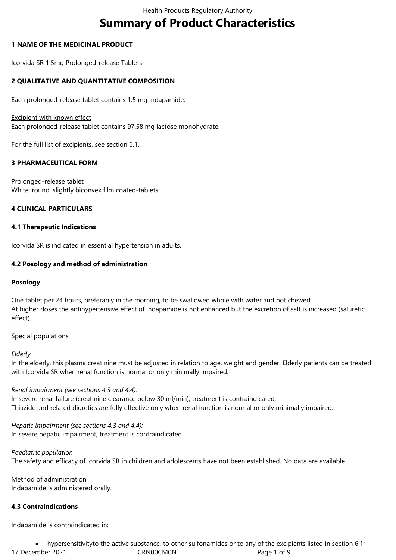# **Summary of Product Characteristics**

# **1 NAME OF THE MEDICINAL PRODUCT**

Icorvida SR 1.5mg Prolonged-release Tablets

# **2 QUALITATIVE AND QUANTITATIVE COMPOSITION**

Each prolonged-release tablet contains 1.5 mg indapamide.

## Excipient with known effect

Each prolonged-release tablet contains 97.58 mg lactose monohydrate.

For the full list of excipients, see section 6.1.

# **3 PHARMACEUTICAL FORM**

Prolonged-release tablet White, round, slightly biconvex film coated-tablets.

# **4 CLINICAL PARTICULARS**

#### **4.1 Therapeutic Indications**

Icorvida SR is indicated in essential hypertension in adults.

# **4.2 Posology and method of administration**

# **Posology**

One tablet per 24 hours, preferably in the morning, to be swallowed whole with water and not chewed. At higher doses the antihypertensive effect of indapamide is not enhanced but the excretion of salt is increased (saluretic effect).

# Special populations

#### *Elderly*

In the elderly, this plasma creatinine must be adjusted in relation to age, weight and gender. Elderly patients can be treated with Icorvida SR when renal function is normal or only minimally impaired.

# *Renal impairment (see sections 4.3 and 4.4):*

In severe renal failure (creatinine clearance below 30 ml/min), treatment is contraindicated. Thiazide and related diuretics are fully effective only when renal function is normal or only minimally impaired.

*Hepatic impairment (see sections 4.3 and 4.4):* In severe hepatic impairment, treatment is contraindicated.

#### *Paediatric population*

The safety and efficacy of Icorvida SR in children and adolescents have not been established. No data are available.

Method of administration Indapamide is administered orally.

# **4.3 Contraindications**

Indapamide is contraindicated in:

17 December 2021 **CRN00CM0N** Page 1 of 9 hypersensitivityto the active substance, to other sulfonamides or to any of the excipients listed in section 6.1;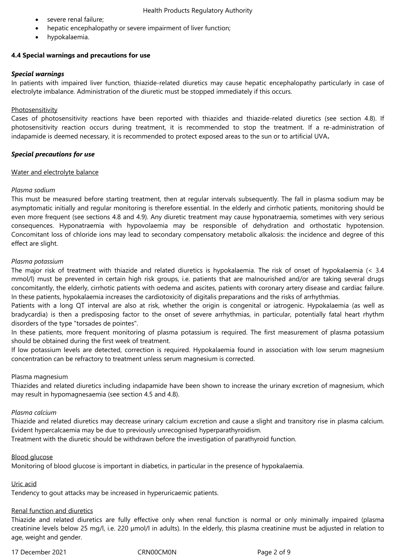- severe renal failure;
- hepatic encephalopathy or severe impairment of liver function;
- hypokalaemia.

# **4.4 Special warnings and precautions for use**

# *Special warnings*

In patients with impaired liver function, thiazide-related diuretics may cause hepatic encephalopathy particularly in case of electrolyte imbalance. Administration of the diuretic must be stopped immediately if this occurs.

# Photosensitivity

Cases of photosensitivity reactions have been reported with thiazides and thiazide-related diuretics (see section 4.8). If photosensitivity reaction occurs during treatment, it is recommended to stop the treatment. If a re-administration of indapamide is deemed necessary, it is recommended to protect exposed areas to the sun or to artificial UVA*.*

# *Special precautions for use*

# Water and electrolyte balance

# *Plasma sodium*

This must be measured before starting treatment, then at regular intervals subsequently. The fall in plasma sodium may be asymptomatic initially and regular monitoring is therefore essential. In the elderly and cirrhotic patients, monitoring should be even more frequent (see sections 4.8 and 4.9). Any diuretic treatment may cause hyponatraemia, sometimes with very serious consequences. Hyponatraemia with hypovolaemia may be responsible of dehydration and orthostatic hypotension. Concomitant loss of chloride ions may lead to secondary compensatory metabolic alkalosis: the incidence and degree of this effect are slight.

# *Plasma potassium*

The major risk of treatment with thiazide and related diuretics is hypokalaemia. The risk of onset of hypokalaemia (< 3.4 mmol/l) must be prevented in certain high risk groups, i.e. patients that are malnourished and/or are taking several drugs concomitantly, the elderly, cirrhotic patients with oedema and ascites, patients with coronary artery disease and cardiac failure. In these patients, hypokalaemia increases the cardiotoxicity of digitalis preparations and the risks of arrhythmias.

Patients with a long QT interval are also at risk, whether the origin is congenital or iatrogenic. Hypokalaemia (as well as bradycardia) is then a predisposing factor to the onset of severe arrhythmias, in particular, potentially fatal heart rhythm disorders of the type "torsades de pointes".

In these patients, more frequent monitoring of plasma potassium is required. The first measurement of plasma potassium should be obtained during the first week of treatment.

If low potassium levels are detected, correction is required. Hypokalaemia found in association with low serum magnesium concentration can be refractory to treatment unless serum magnesium is corrected.

# Plasma magnesium

Thiazides and related diuretics including indapamide have been shown to increase the urinary excretion of magnesium, which may result in hypomagnesaemia (see section 4.5 and 4.8).

# *Plasma calcium*

Thiazide and related diuretics may decrease urinary calcium excretion and cause a slight and transitory rise in plasma calcium. Evident hypercalcaemia may be due to previously unrecognised hyperparathyroidism.

Treatment with the diuretic should be withdrawn before the investigation of parathyroid function.

# Blood glucose

Monitoring of blood glucose is important in diabetics, in particular in the presence of hypokalaemia.

# Uric acid

Tendency to gout attacks may be increased in hyperuricaemic patients.

# Renal function and diuretics

Thiazide and related diuretics are fully effective only when renal function is normal or only minimally impaired (plasma creatinine levels below 25 mg/l, i.e. 220 µmol/l in adults). In the elderly, this plasma creatinine must be adjusted in relation to age, weight and gender.

17 December 2021 CRN00CM0N Page 2 of 9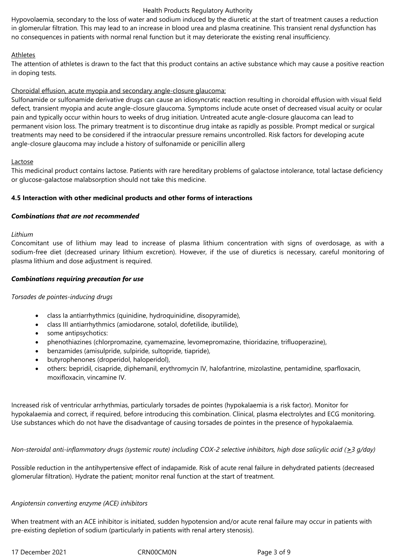# Health Products Regulatory Authority

Hypovolaemia, secondary to the loss of water and sodium induced by the diuretic at the start of treatment causes a reduction in glomerular filtration. This may lead to an increase in blood urea and plasma creatinine. This transient renal dysfunction has no consequences in patients with normal renal function but it may deteriorate the existing renal insufficiency.

# Athletes

The attention of athletes is drawn to the fact that this product contains an active substance which may cause a positive reaction in doping tests.

# Choroidal effusion, acute myopia and secondary angle-closure glaucoma:

Sulfonamide or sulfonamide derivative drugs can cause an idiosyncratic reaction resulting in choroidal effusion with visual field defect*,* transient myopia and acute angle-closure glaucoma. Symptoms include acute onset of decreased visual acuity or ocular pain and typically occur within hours to weeks of drug initiation. Untreated acute angle-closure glaucoma can lead to permanent vision loss. The primary treatment is to discontinue drug intake as rapidly as possible. Prompt medical or surgical treatments may need to be considered if the intraocular pressure remains uncontrolled. Risk factors for developing acute angle-closure glaucoma may include a history of sulfonamide or penicillin allerg

# Lactose

This medicinal product contains lactose. Patients with rare hereditary problems of galactose intolerance, total lactase deficiency or glucose-galactose malabsorption should not take this medicine.

# **4.5 Interaction with other medicinal products and other forms of interactions**

# *Combinations that are not recommended*

# *Lithium*

Concomitant use of lithium may lead to increase of plasma lithium concentration with signs of overdosage, as with a sodium-free diet (decreased urinary lithium excretion). However, if the use of diuretics is necessary, careful monitoring of plasma lithium and dose adjustment is required.

# *Combinations requiring precaution for use*

# *Torsades de pointes-inducing drugs*

- class Ia antiarrhythmics (quinidine, hydroquinidine, disopyramide),
- class III antiarrhythmics (amiodarone, sotalol, dofetilide, ibutilide),
- some antipsychotics:
- phenothiazines (chlorpromazine, cyamemazine, levomepromazine, thioridazine, trifluoperazine),
- benzamides (amisulpride, sulpiride, sultopride, tiapride),
- butyrophenones (droperidol, haloperidol),
- others: bepridil, cisapride, diphemanil, erythromycin IV, halofantrine, mizolastine, pentamidine, sparfloxacin, moxifloxacin, vincamine IV.

Increased risk of ventricular arrhythmias, particularly torsades de pointes (hypokalaemia is a risk factor). Monitor for hypokalaemia and correct, if required, before introducing this combination. Clinical, plasma electrolytes and ECG monitoring. Use substances which do not have the disadvantage of causing torsades de pointes in the presence of hypokalaemia.

# *Non-steroidal anti-inflammatory drugs (systemic route) including COX-2 selective inhibitors, high dose salicylic acid (>3 g/day)*

Possible reduction in the antihypertensive effect of indapamide. Risk of acute renal failure in dehydrated patients (decreased glomerular filtration). Hydrate the patient; monitor renal function at the start of treatment.

# *Angiotensin converting enzyme (ACE) inhibitors*

When treatment with an ACE inhibitor is initiated, sudden hypotension and/or acute renal failure may occur in patients with pre-existing depletion of sodium (particularly in patients with renal artery stenosis).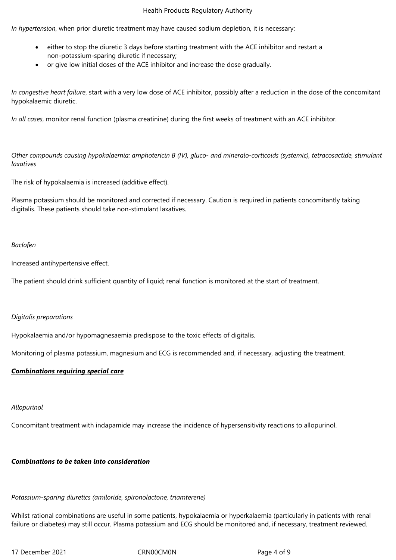## Health Products Regulatory Authority

*In hypertension*, when prior diuretic treatment may have caused sodium depletion, it is necessary:

- either to stop the diuretic 3 days before starting treatment with the ACE inhibitor and restart a non-potassium-sparing diuretic if necessary;
- or give low initial doses of the ACE inhibitor and increase the dose gradually.

*In congestive heart failure*, start with a very low dose of ACE inhibitor, possibly after a reduction in the dose of the concomitant hypokalaemic diuretic.

*In all cases*, monitor renal function (plasma creatinine) during the first weeks of treatment with an ACE inhibitor.

*Other compounds causing hypokalaemia: amphotericin B (IV), gluco- and mineralo-corticoids (systemic), tetracosactide, stimulant laxatives*

The risk of hypokalaemia is increased (additive effect).

Plasma potassium should be monitored and corrected if necessary. Caution is required in patients concomitantly taking digitalis. These patients should take non-stimulant laxatives.

# *Baclofen*

Increased antihypertensive effect.

The patient should drink sufficient quantity of liquid; renal function is monitored at the start of treatment.

# *Digitalis preparations*

Hypokalaemia and/or hypomagnesaemia predispose to the toxic effects of digitalis.

Monitoring of plasma potassium, magnesium and ECG is recommended and, if necessary, adjusting the treatment.

# *Combinations requiring special care*

# *Allopurinol*

Concomitant treatment with indapamide may increase the incidence of hypersensitivity reactions to allopurinol.

# *Combinations to be taken into consideration*

# *Potassium-sparing diuretics (amiloride, spironolactone, triamterene)*

Whilst rational combinations are useful in some patients, hypokalaemia or hyperkalaemia (particularly in patients with renal failure or diabetes) may still occur. Plasma potassium and ECG should be monitored and, if necessary, treatment reviewed.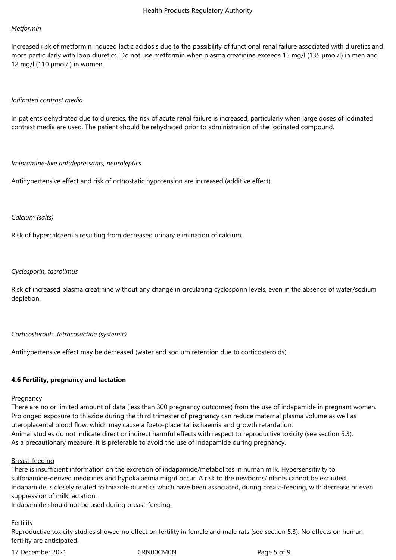#### *Metformin*

Increased risk of metformin induced lactic acidosis due to the possibility of functional renal failure associated with diuretics and more particularly with loop diuretics. Do not use metformin when plasma creatinine exceeds 15 mg/l (135 µmol/l) in men and 12 mg/l (110 µmol/l) in women.

#### *Iodinated contrast media*

In patients dehydrated due to diuretics, the risk of acute renal failure is increased, particularly when large doses of iodinated contrast media are used. The patient should be rehydrated prior to administration of the iodinated compound.

#### *Imipramine-like antidepressants, neuroleptics*

Antihypertensive effect and risk of orthostatic hypotension are increased (additive effect).

#### *Calcium (salts)*

Risk of hypercalcaemia resulting from decreased urinary elimination of calcium.

# *Cyclosporin, tacrolimus*

Risk of increased plasma creatinine without any change in circulating cyclosporin levels, even in the absence of water/sodium depletion.

#### *Corticosteroids, tetracosactide (systemic)*

Antihypertensive effect may be decreased (water and sodium retention due to corticosteroids).

# **4.6 Fertility, pregnancy and lactation**

#### **Pregnancy**

There are no or limited amount of data (less than 300 pregnancy outcomes) from the use of indapamide in pregnant women. Prolonged exposure to thiazide during the third trimester of pregnancy can reduce maternal plasma volume as well as uteroplacental blood flow, which may cause a foeto-placental ischaemia and growth retardation. Animal studies do not indicate direct or indirect harmful effects with respect to reproductive toxicity (see section 5.3). As a precautionary measure, it is preferable to avoid the use of Indapamide during pregnancy.

#### Breast-feeding

There is insufficient information on the excretion of indapamide/metabolites in human milk. Hypersensitivity to sulfonamide-derived medicines and hypokalaemia might occur. A risk to the newborns/infants cannot be excluded. Indapamide is closely related to thiazide diuretics which have been associated, during breast-feeding, with decrease or even suppression of milk lactation.

Indapamide should not be used during breast-feeding.

# Fertility

Reproductive toxicity studies showed no effect on fertility in female and male rats (see section 5.3). No effects on human fertility are anticipated.

17 December 2021 CRN00CM0N Page 5 of 9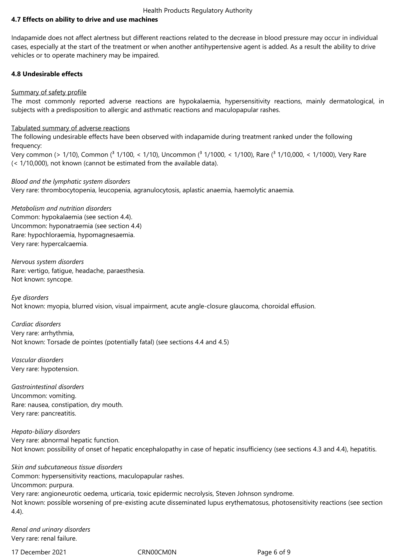# **4.7 Effects on ability to drive and use machines**

Indapamide does not affect alertness but different reactions related to the decrease in blood pressure may occur in individual cases, especially at the start of the treatment or when another antihypertensive agent is added. As a result the ability to drive vehicles or to operate machinery may be impaired.

# **4.8 Undesirable effects**

# Summary of safety profile

The most commonly reported adverse reactions are hypokalaemia, hypersensitivity reactions, mainly dermatological, in subjects with a predisposition to allergic and asthmatic reactions and maculopapular rashes.

# Tabulated summary of adverse reactions

The following undesirable effects have been observed with indapamide during treatment ranked under the following frequency:

Very common (> 1/10), Common (<sup>3</sup> 1/100, < 1/10), Uncommon (<sup>3</sup> 1/1000, < 1/100), Rare (<sup>3</sup> 1/10,000, < 1/1000), Very Rare (< 1/10,000), not known (cannot be estimated from the available data).

# *Blood and the lymphatic system disorders*

Very rare: thrombocytopenia, leucopenia, agranulocytosis, aplastic anaemia, haemolytic anaemia.

# *Metabolism and nutrition disorders* Common: hypokalaemia (see section 4.4). Uncommon: hyponatraemia (see section 4.4) Rare: hypochloraemia, hypomagnesaemia. Very rare: hypercalcaemia.

*Nervous system disorders* Rare: vertigo, fatigue, headache, paraesthesia. Not known: syncope.

*Eye disorders* Not known: myopia, blurred vision, visual impairment, acute angle-closure glaucoma, choroidal effusion.

*Cardiac disorders* Very rare: arrhythmia, Not known: Torsade de pointes (potentially fatal) (see sections 4.4 and 4.5)

*Vascular disorders*  Very rare: hypotension.

*Gastrointestinal disorders* Uncommon: vomiting. Rare: nausea, constipation, dry mouth. Very rare: pancreatitis.

*Hepato-biliary disorders* Very rare: abnormal hepatic function. Not known: possibility of onset of hepatic encephalopathy in case of hepatic insufficiency (see sections 4.3 and 4.4), hepatitis.

*Skin and subcutaneous tissue disorders* Common: hypersensitivity reactions, maculopapular rashes. Uncommon: purpura. Very rare: angioneurotic oedema, urticaria, toxic epidermic necrolysis, Steven Johnson syndrome. Not known: possible worsening of pre-existing acute disseminated lupus erythematosus, photosensitivity reactions (see section 4.4).

*Renal and urinary disorders* Very rare: renal failure.

17 December 2021 CRN00CM0N Page 6 of 9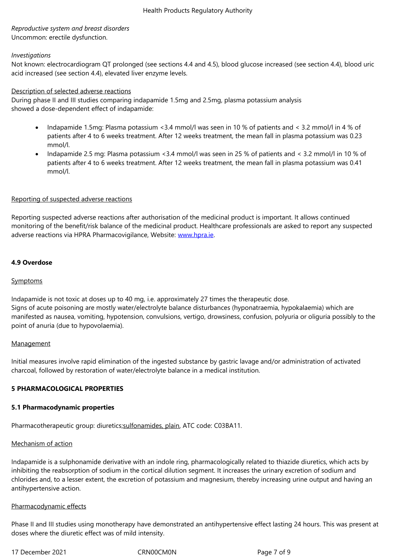Uncommon: erectile dysfunction.

# *Investigations*

Not known: electrocardiogram QT prolonged (see sections 4.4 and 4.5), blood glucose increased (see section 4.4), blood uric acid increased (see section 4.4), elevated liver enzyme levels.

# Description of selected adverse reactions

During phase II and III studies comparing indapamide 1.5mg and 2.5mg, plasma potassium analysis showed a dose-dependent effect of indapamide:

- Indapamide 1.5mg: Plasma potassium < 3.4 mmol/l was seen in 10 % of patients and < 3.2 mmol/l in 4 % of patients after 4 to 6 weeks treatment. After 12 weeks treatment, the mean fall in plasma potassium was 0.23 mmol/l.
- Indapamide 2.5 mg: Plasma potassium <3.4 mmol/l was seen in 25 % of patients and < 3.2 mmol/l in 10 % of patients after 4 to 6 weeks treatment. After 12 weeks treatment, the mean fall in plasma potassium was 0.41 mmol/l.

# Reporting of suspected adverse reactions

Reporting suspected adverse reactions after authorisation of the medicinal product is important. It allows continued monitoring of the benefit/risk balance of the medicinal product. Healthcare professionals are asked to report any suspected adverse reactions via HPRA Pharmacovigilance, Website: www.hpra.ie.

# **4.9 Overdose**

# **Symptoms**

Indapamide is not toxic at doses up to 40 mg, i.e. approximately 27 times the therapeutic dose. Signs of acute poisoning are mostly water/electrolyte balance disturbances (hyponatraemia, hypokalaemia) which are manifested as nausea, vomiting, hypotension, convulsions, vertigo, drowsiness, confusion, polyuria or oliguria possibly to the point of anuria (due to hypovolaemia).

# **Management**

Initial measures involve rapid elimination of the ingested substance by gastric lavage and/or administration of activated charcoal, followed by restoration of water/electrolyte balance in a medical institution.

# **5 PHARMACOLOGICAL PROPERTIES**

# **5.1 Pharmacodynamic properties**

Pharmacotherapeutic group: diuretics;sulfonamides, plain, ATC code: C03BA11.

# Mechanism of action

Indapamide is a sulphonamide derivat[ive with an indole ri](http://www.whocc.no/atc_ddd_index/?code=C03BA)ng, pharmacologically related to thiazide diuretics, which acts by inhibiting the reabsorption of sodium in the cortical dilution segment. It increases the urinary excretion of sodium and chlorides and, to a lesser extent, the excretion of potassium and magnesium, thereby increasing urine output and having an antihypertensive action.

# Pharmacodynamic effects

Phase II and III studies using monotherapy have demonstrated an antihypertensive effect lasting 24 hours. This was present at doses where the diuretic effect was of mild intensity.

17 December 2021 CRN00CM0N Page 7 of 9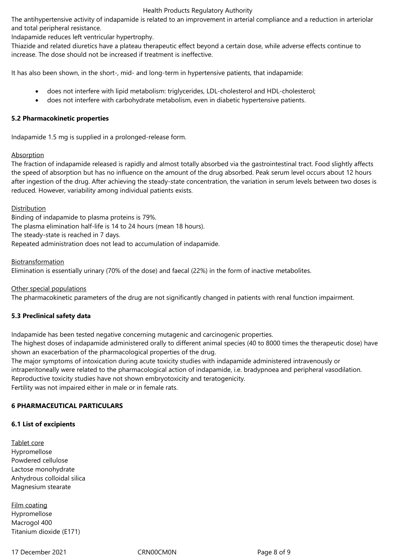# Health Products Regulatory Authority

The antihypertensive activity of indapamide is related to an improvement in arterial compliance and a reduction in arteriolar and total peripheral resistance.

Indapamide reduces left ventricular hypertrophy.

Thiazide and related diuretics have a plateau therapeutic effect beyond a certain dose, while adverse effects continue to increase. The dose should not be increased if treatment is ineffective.

It has also been shown, in the short-, mid- and long-term in hypertensive patients, that indapamide:

- does not interfere with lipid metabolism: triglycerides, LDL-cholesterol and HDL-cholesterol;
- does not interfere with carbohydrate metabolism, even in diabetic hypertensive patients.

# **5.2 Pharmacokinetic properties**

Indapamide 1.5 mg is supplied in a prolonged-release form.

# **Absorption**

The fraction of indapamide released is rapidly and almost totally absorbed via the gastrointestinal tract. Food slightly affects the speed of absorption but has no influence on the amount of the drug absorbed. Peak serum level occurs about 12 hours after ingestion of the drug. After achieving the steady-state concentration, the variation in serum levels between two doses is reduced. However, variability among individual patients exists.

**Distribution** 

Binding of indapamide to plasma proteins is 79%. The plasma elimination half-life is 14 to 24 hours (mean 18 hours). The steady-state is reached in 7 days. Repeated administration does not lead to accumulation of indapamide.

Biotransformation

Elimination is essentially urinary (70% of the dose) and faecal (22%) in the form of inactive metabolites.

Other special populations

The pharmacokinetic parameters of the drug are not significantly changed in patients with renal function impairment.

# **5.3 Preclinical safety data**

Indapamide has been tested negative concerning mutagenic and carcinogenic properties.

The highest doses of indapamide administered orally to different animal species (40 to 8000 times the therapeutic dose) have shown an exacerbation of the pharmacological properties of the drug.

The major symptoms of intoxication during acute toxicity studies with indapamide administered intravenously or intraperitoneally were related to the pharmacological action of indapamide, i.e. bradypnoea and peripheral vasodilation. Reproductive toxicity studies have not shown embryotoxicity and teratogenicity. Fertility was not impaired either in male or in female rats.

# **6 PHARMACEUTICAL PARTICULARS**

# **6.1 List of excipients**

Tablet core Hypromellose Powdered cellulose Lactose monohydrate Anhydrous colloidal silica Magnesium stearate

Film coating Hypromellose Macrogol 400 Titanium dioxide (E171)

17 December 2021 CRN00CM0N Page 8 of 9